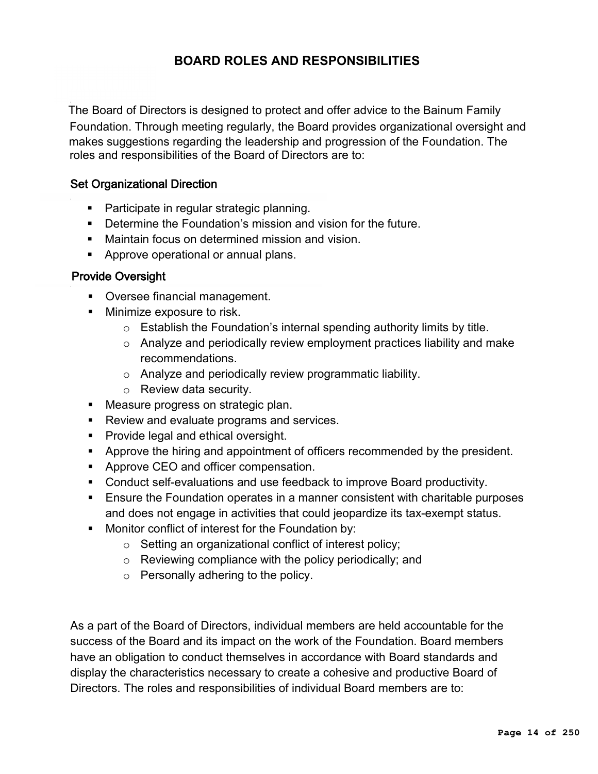## **BOARD ROLES AND RESPONSIBILITIES**

The Board of Directors is designed to protect and offer advice to the Bainum Family Foundation. Through meeting regularly, the Board provides organizational oversight and makes suggestions regarding the leadership and progression of the Foundation. The roles and responsibilities of the Board of Directors are to:

## Set Organizational Direction

- Participate in regular strategic planning.
- **Determine the Foundation's mission and vision for the future.**
- **Maintain focus on determined mission and vision.**
- **Approve operational or annual plans.**

## Provide Oversight

- **Oversee financial management.**
- **Minimize exposure to risk.** 
	- $\circ$  Establish the Foundation's internal spending authority limits by title.
	- o Analyze and periodically review employment practices liability and make recommendations.
	- o Analyze and periodically review programmatic liability.
	- o Review data security.
- **Measure progress on strategic plan.**
- Review and evaluate programs and services.
- **Provide legal and ethical oversight.**
- **Approve the hiring and appointment of officers recommended by the president.**
- **Approve CEO and officer compensation.**
- Conduct self-evaluations and use feedback to improve Board productivity.
- Ensure the Foundation operates in a manner consistent with charitable purposes and does not engage in activities that could jeopardize its tax-exempt status.
- **Monitor conflict of interest for the Foundation by:** 
	- o Setting an organizational conflict of interest policy;
	- o Reviewing compliance with the policy periodically; and
	- o Personally adhering to the policy.

As a part of the Board of Directors, individual members are held accountable for the success of the Board and its impact on the work of the Foundation. Board members have an obligation to conduct themselves in accordance with Board standards and display the characteristics necessary to create a cohesive and productive Board of Directors. The roles and responsibilities of individual Board members are to: